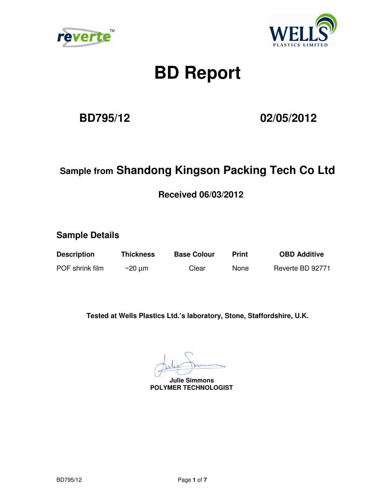



# **BD Report**

**BD795/12 02/05/2012** 

### **Sample from Shandong Kingson Packing Tech Co Ltd**

 **Received 06/03/2012** 

**Sample Details** 

**Description Thickness Base Colour Print OBD Additive** 

POF shrink film  $\sim$  20 µm Clear None Reverte BD 92771

**Tested at Wells Plastics Ltd.'s laboratory, Stone, Staffordshire, U.K.** 

 **Julie Simmons POLYMER TECHNOLOGIST**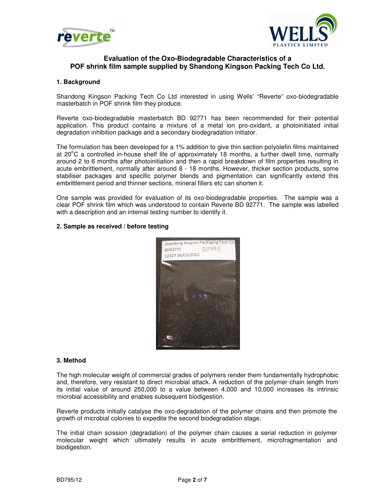



#### **Evaluation of the Oxo-Biodegradable Characteristics of a POF shrink film sample supplied by Shandong Kingson Packing Tech Co Ltd.**

#### **1. Background**

Shandong Kingson Packing Tech Co Ltd interested in using Wells' "Reverte" oxo-biodegradable masterbatch in POF shrink film they produce.

Reverte oxo-biodegradable masterbatch BD 92771 has been recommended for their potential application. This product contains a mixture of a metal ion pro-oxidant, a photoinitiated initial degradation inhibition package and a secondary biodegradation initiator.

The formulation has been developed for a 1% addition to give thin section polyolefin films maintained at 20 $\degree$ C a controlled in-house shelf life of approximately 18 months, a further dwell time, normally around 2 to 6 months after photoinitiation and then a rapid breakdown of film properties resulting in acute embrittlement, normally after around 8 - 18 months. However, thicker section products, some stabiliser packages and specific polymer blends and pigmentation can significantly extend this embrittlement period and thinner sections, mineral fillers etc can shorten it.

One sample was provided for evaluation of its oxo-biodegradable properties. The sample was a clear POF shrink film which was understood to contain Reverte BD 92771. The sample was labelled with a description and an internal testing number to identify it.

#### **2. Sample as received / before testing**



#### **3. Method**

The high molecular weight of commercial grades of polymers render them fundamentally hydrophobic and, therefore, very resistant to direct microbial attack. A reduction of the polymer chain length from its initial value of around 250,000 to a value between 4,000 and 10,000 increases its intrinsic microbial accessibility and enables subsequent biodigestion.

Reverte products initially catalyse the oxo-degradation of the polymer chains and then promote the growth of microbial colonies to expedite the second biodegradation stage.

The initial chain scission (degradation) of the polymer chain causes a serial reduction in polymer molecular weight which ultimately results in acute embrittlement, microfragmentation and biodigestion.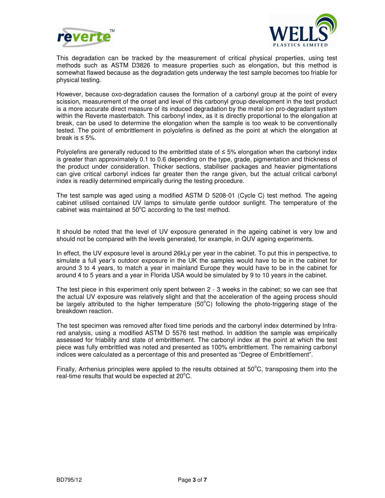



This degradation can be tracked by the measurement of critical physical properties, using test methods such as ASTM D3826 to measure properties such as elongation, but this method is somewhat flawed because as the degradation gets underway the test sample becomes too friable for physical testing.

However, because oxo-degradation causes the formation of a carbonyl group at the point of every scission, measurement of the onset and level of this carbonyl group development in the test product is a more accurate direct measure of its induced degradation by the metal ion pro-degradant system within the Reverte masterbatch. This carbonyl index, as it is directly proportional to the elongation at break, can be used to determine the elongation when the sample is too weak to be conventionally tested. The point of embrittlement in polyolefins is defined as the point at which the elongation at break is  $\leq 5\%$ .

Polyolefins are generally reduced to the embrittled state of ≤ 5% elongation when the carbonyl index is greater than approximately 0.1 to 0.6 depending on the type, grade, pigmentation and thickness of the product under consideration. Thicker sections, stabiliser packages and heavier pigmentations can give critical carbonyl indices far greater then the range given, but the actual critical carbonyl index is readily determined empirically during the testing procedure.

The test sample was aged using a modified ASTM D 5208-01 (Cycle C) test method. The ageing cabinet utilised contained UV lamps to simulate gentle outdoor sunlight. The temperature of the cabinet was maintained at  $50^{\circ}$ C according to the test method.

It should be noted that the level of UV exposure generated in the ageing cabinet is very low and should not be compared with the levels generated, for example, in QUV ageing experiments.

In effect, the UV exposure level is around 26kLy per year in the cabinet. To put this in perspective, to simulate a full year's outdoor exposure in the UK the samples would have to be in the cabinet for around 3 to 4 years, to match a year in mainland Europe they would have to be in the cabinet for around 4 to 5 years and a year in Florida USA would be simulated by 9 to 10 years in the cabinet.

The test piece in this experiment only spent between 2 - 3 weeks in the cabinet; so we can see that the actual UV exposure was relatively slight and that the acceleration of the ageing process should be largely attributed to the higher temperature ( $50^{\circ}$ C) following the photo-triggering stage of the breakdown reaction.

The test specimen was removed after fixed time periods and the carbonyl index determined by Infrared analysis, using a modified ASTM D 5576 test method. In addition the sample was empirically assessed for friability and state of embrittlement. The carbonyl index at the point at which the test piece was fully embrittled was noted and presented as 100% embrittlement. The remaining carbonyl indices were calculated as a percentage of this and presented as "Degree of Embrittlement".

Finally, Arrhenius principles were applied to the results obtained at  $50^{\circ}$ C, transposing them into the real-time results that would be expected at  $20^{\circ}$ C.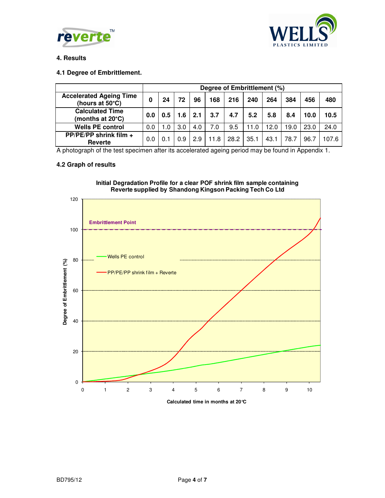



#### **4. Results**

#### **4.1 Degree of Embrittlement.**

|                                                   | Degree of Embrittlement (%) |     |     |     |      |      |      |      |      |      |       |
|---------------------------------------------------|-----------------------------|-----|-----|-----|------|------|------|------|------|------|-------|
| <b>Accelerated Ageing Time</b><br>(hours at 50°C) | 0                           | 24  | 72  | 96  | 168  | 216  | 240  | 264  | 384  | 456  | 480   |
| <b>Calculated Time</b><br>(months at 20°C)        | 0.0                         | 0.5 | 1.6 | 2.1 | 3.7  | 4.7  | 5.2  | 5.8  | 8.4  | 10.0 | 10.5  |
| <b>Wells PE control</b>                           | 0.0                         | .0  | 3.0 | 4.0 | 7.0  | 9.5  | 11.0 | 12.0 | 19.0 | 23.0 | 24.0  |
| PP/PE/PP shrink film +<br>Reverte                 | 0.0                         | 0.1 | 0.9 | 2.9 | 11.8 | 28.2 | 35.1 | 43.1 | 78.7 | 96.7 | 107.6 |

A photograph of the test specimen after its accelerated ageing period may be found in Appendix 1.

#### **4.2 Graph of results**



## **Initial Degradation Profile for a clear POF shrink film sample containing**

**Calculated time in months at 20°C**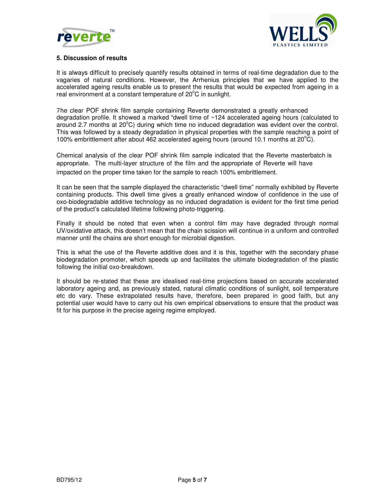



#### **5. Discussion of results**

It is always difficult to precisely quantify results obtained in terms of real-time degradation due to the vagaries of natural conditions. However, the Arrhenius principles that we have applied to the accelerated ageing results enable us to present the results that would be expected from ageing in a real environment at a constant temperature of 20°C in sunlight.

7he clear POF shrink film sample containing Reverte demonstrated a greatly enhanced degradation profile. It showed a marked "dwell time of ~124 accelerated ageing hours (calculated to around 2.7 months at  $20^{\circ}$ C) during which time no induced degradation was evident over the control. This was followed by a steady degradation in physical properties with the sample reaching a point of 100% embrittlement after about 462 accelerated ageing hours (around 10.1 months at  $20^{\circ}$ C).

Chemical analysis of the clear POF shrink film sample indicated that the Reverte masterbatch is appropriate. The multi-layer structure of the film and the appropriate of Reverte will have impacted on the proper time taken for the sample to reach 100% embrittlement.

It can be seen that the sample displayed the characteristic "dwell time" normally exhibited by Reverte containing products. This dwell time gives a greatly enhanced window of confidence in the use of oxo-biodegradable additive technology as no induced degradation is evident for the first time period of the product's calculated lifetime following photo-triggering.

Finally it should be noted that even when a control film may have degraded through normal UV/oxidative attack, this doesn't mean that the chain scission will continue in a uniform and controlled manner until the chains are short enough for microbial digestion.

This is what the use of the Reverte additive does and it is this, together with the secondary phase biodegradation promoter, which speeds up and facilitates the ultimate biodegradation of the plastic following the initial oxo-breakdown.

It should be re-stated that these are idealised real-time projections based on accurate accelerated laboratory ageing and, as previously stated, natural climatic conditions of sunlight, soil temperature etc do vary. These extrapolated results have, therefore, been prepared in good faith, but any potential user would have to carry out his own empirical observations to ensure that the product was fit for his purpose in the precise ageing regime employed.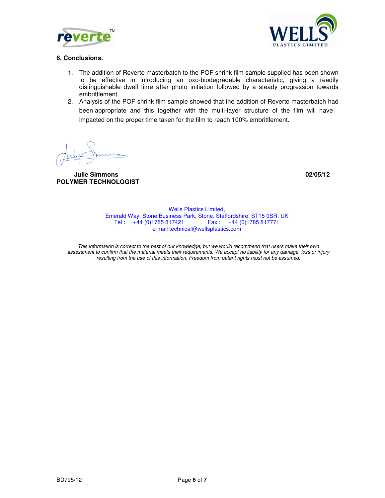



#### **6. Conclusions.**

- 1. The addition of Reverte masterbatch to the POF shrink film sample supplied has been shown to be effective in introducing an oxo-biodegradable characteristic, giving a readily distinguishable dwell time after photo initiation followed by a steady progression towards embrittlement.
- 2. Analysis of the POF shrink film sample showed that the addition of Reverte masterbatch had been appropriate and this together with the multi-layer structure of the film will have impacted on the proper time taken for the film to reach 100% embrittlement.

 **Julie Simmons 02/05/12 POLYMER TECHNOLOGIST** 

Wells Plastics Limited, Emerald Way, Stone Business Park, Stone. Staffordshire. ST15 0SR. UK Tel : +44 (0)1785 817421 Fax : +44 (0)1785 817771 e-mail technical@wellsplastics.com

This information is correct to the best of our knowledge, but we would recommend that users make their own assessment to confirm that the material meets their requirements. We accept no liability for any damage, loss or injury resulting from the use of this information. Freedom from patent rights must not be assumed.